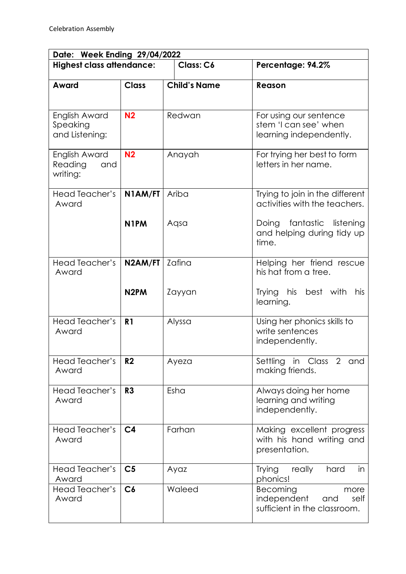| Date: Week Ending 29/04/2022                |                   |                     |                                                                                |  |  |
|---------------------------------------------|-------------------|---------------------|--------------------------------------------------------------------------------|--|--|
| <b>Highest class attendance:</b>            |                   | Class: C6           | Percentage: 94.2%                                                              |  |  |
| Award                                       | <b>Class</b>      | <b>Child's Name</b> | Reason                                                                         |  |  |
| English Award<br>Speaking<br>and Listening: | N <sub>2</sub>    | Redwan              | For using our sentence<br>stem 'I can see' when<br>learning independently.     |  |  |
| English Award<br>Reading<br>and<br>writing: | N <sub>2</sub>    | Anayah              | For trying her best to form<br>letters in her name.                            |  |  |
| Head Teacher's<br>Award                     | N1AM/FT           | Ariba               | Trying to join in the different<br>activities with the teachers.               |  |  |
|                                             | N <sub>1</sub> PM | Aqsa                | Doing fantastic listening<br>and helping during tidy up<br>time.               |  |  |
| Head Teacher's<br>Award                     | N2AM/FT           | Zafina              | Helping her friend rescue<br>his hat from a tree.                              |  |  |
|                                             | N <sub>2</sub> PM | Zayyan              | Trying his<br>best with<br>his<br>learning.                                    |  |  |
| Head Teacher's<br>Award                     | R <sub>1</sub>    | Alyssa              | Using her phonics skills to<br>write sentences<br>independently.               |  |  |
| Head Teacher's<br>Award                     | R <sub>2</sub>    | Ayeza               | Settling in Class 2 and<br>making friends.                                     |  |  |
| <b>Head Teacher's</b><br>Award              | R <sub>3</sub>    | Esha                | Always doing her home<br>learning and writing<br>independently.                |  |  |
| Head Teacher's<br>Award                     | C <sub>4</sub>    | Farhan              | Making excellent progress<br>with his hand writing and<br>presentation.        |  |  |
| Head Teacher's<br>Award                     | C <sub>5</sub>    | Ayaz                | <b>Trying</b><br>really<br>hard<br>in<br>phonics!                              |  |  |
| Head Teacher's<br>Award                     | C6                | Waleed              | Becoming<br>more<br>independent<br>and<br>self<br>sufficient in the classroom. |  |  |